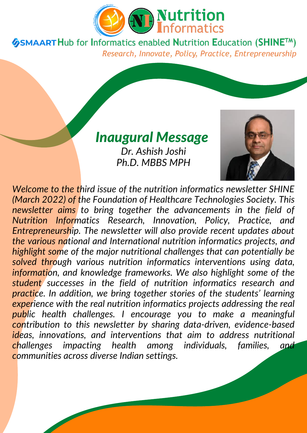

**GSMAART Hub for Informatics enabled Nutrition Education (SHINETM)** Research, Innovate, Policy, Practice, Entrepreneurship

### *Inaugural Message*

*Dr. Ashish Joshi Ph.D. MBBS MPH*



*Welcome to the third issue of the nutrition informatics newsletter SHINE (March 2022) of the Foundation of Healthcare Technologies Society. This newsletter aims to bring together the advancements in the field of Nutrition Informatics Research, Innovation, Policy, Practice, and Entrepreneurship. The newsletter will also provide recent updates about the various national and International nutrition informatics projects, and highlight some of the major nutritional challenges that can potentially be solved through various nutrition informatics interventions using data, information, and knowledge frameworks. We also highlight some of the student successes in the field of nutrition informatics research and practice. In addition, we bring together stories of the students' learning experience with the real nutrition informatics projects addressing the real public health challenges. I encourage you to make a meaningful contribution to this newsletter by sharing data-driven, evidence-based ideas, innovations, and interventions that aim to address nutritional challenges impacting health among individuals, families, and communities across diverse Indian settings.*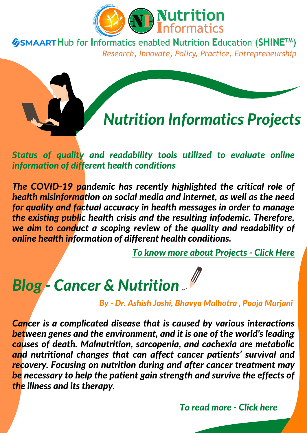

**GSMAART Hub for Informatics enabled Nutrition Education (SHINETM)** Research, Innovate, Policy, Practice, Entrepreneurship



*Status of quality and readability tools utilized to evaluate online information of different health conditions*

*The COVID-19 pandemic has recently highlighted the critical role of health misinformation on social media and internet, as well as the need for quality and factual accuracy in health messages in order to manage the existing public health crisis and the resulting infodemic. Therefore, we aim to conduct a scoping review of the quality and readability of online health information of different health conditions.*

*To know more about [Projects](https://nutritioninformatics.info/ni-projects/) - Click Here*

# *Blog - Cancer & Nutrition*

*By - Dr. Ashish Joshi, Bhavya Malhotra , Pooja Murjani*

*Cancer is a complicated disease that is caused by various interactions between genes and the environment, and it is one of the world's leading causes of death. Malnutrition, sarcopenia, and cachexia are metabolic and nutritional changes that can affect cancer patients' survival and recovery. Focusing on nutrition during and after cancer treatment may be necessary to help the patient gain strength and survive the effects of the illness and its therapy.*

*To read [more](https://nutritioninformatics.info/nutrition-and-cancer/) - Click her[e](https://nutritioninformatics.info/nutrition-and-cancer/)*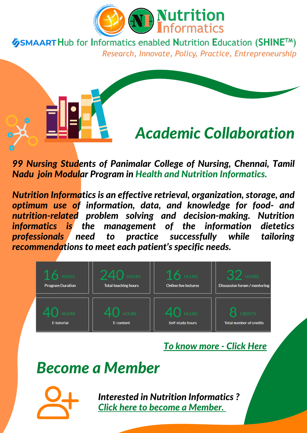

**GSMAART Hub for Informatics enabled Nutrition Education (SHINE™)** Research, Innovate, Policy, Practice, Entrepreneurship

# *Academic Collaboration*

*99 Nursing Students of Panimalar College of Nursing, Chennai, Tamil Nadu join Modular Program in Health and Nutrition Informatics.*

*Nutrition Informatics is an effective retrieval, organization, storage, and optimum use of information, data, and knowledge for food- and nutrition-related problem solving and decision-making. Nutrition informatics is the management of the information dietetics professionals need to practice successfully while tailoring recommendations to meet each patient's specific needs.*



*To [know](https://nutritioninformatics.info/training-programs/certificate-in-health-and-nutrition-informatics/) more - Click Here*

### *Become a Member*



*Interested in Nutrition Informat[ic](https://nutritioninformatics.info/contact-us/)s ? Click here to become a [Member.](https://nutritioninformatics.info/contact-us/)*